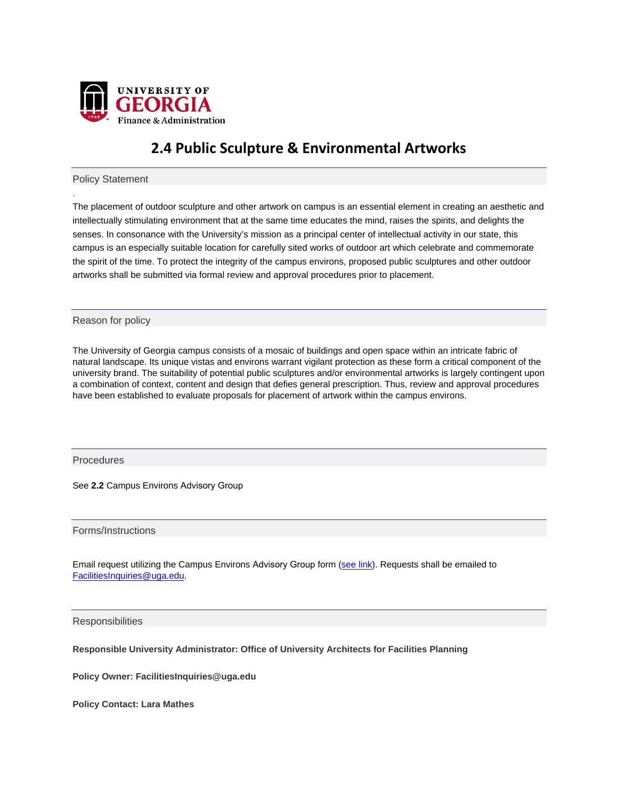

## **2.4 Public Sculpture & Environmental Artworks**

Policy Statement

.

The placement of outdoor sculpture and other artwork on campus is an essential element in creating an aesthetic and intellectually stimulating environment that at the same time educates the mind, raises the spirits, and delights the senses. In consonance with the University's mission as a principal center of intellectual activity in our state, this campus is an especially suitable location for carefully sited works of outdoor art which celebrate and commemorate the spirit of the time. To protect the integrity of the campus environs, proposed public sculptures and other outdoor artworks shall be submitted via formal review and approval procedures prior to placement.

Reason for policy

The University of Georgia campus consists of a mosaic of buildings and open space within an intricate fabric of natural landscape. Its unique vistas and environs warrant vigilant protection as these form a critical component of the university brand. The suitability of potential public sculptures and/or environmental artworks is largely contingent upon a combination of context, content and design that defies general prescription. Thus, review and approval procedures have been established to evaluate proposals for placement of artwork within the campus environs.

**Procedures** 

See **2.2** Campus Environs Advisory Group

Forms/Instructions

Email request utilizing the Campus Environs Advisory Group form [\(see link\).](http://busfin.uga.edu/forms/CERC_form.pdf) Requests shall be emailed to FacilitiesInquiries@uga.edu.

**Responsibilities** 

**Responsible University Administrator: Office of University Architects for Facilities Planning** 

**Policy Owner: FacilitiesInquiries@uga.edu** 

**Policy Contact: Lara Mathes**